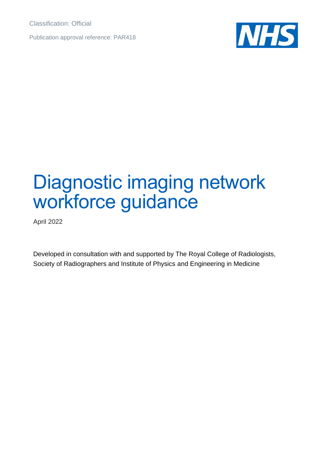Classification: Official

Publication approval reference: PAR418



# Diagnostic imaging network workforce guidance

April 2022

Developed in consultation with and supported by The Royal College of Radiologists, Society of Radiographers and Institute of Physics and Engineering in Medicine.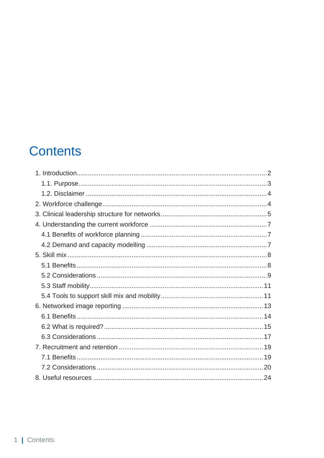# **Contents**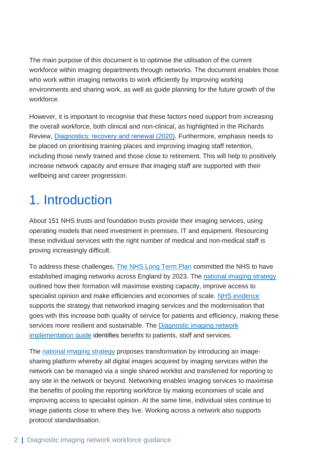The main purpose of this document is to optimise the utilisation of the current workforce within imaging departments through networks. The document enables those who work within imaging networks to work efficiently by improving working environments and sharing work, as well as guide planning for the future growth of the workforce.

However, it is important to recognise that these factors need support from increasing the overall workforce, both clinical and non-clinical, as highlighted in the Richards Review, [Diagnostics: recovery and renewal](https://www.england.nhs.uk/publication/diagnostics-recovery-and-renewal-report-of-the-independent-review-of-diagnostic-services-for-nhs-england/) (2020). Furthermore, emphasis needs to be placed on prioritising training places and improving imaging staff retention, including those newly trained and those close to retirement. This will help to positively increase network capacity and ensure that imaging staff are supported with their wellbeing and career progression.

# <span id="page-2-0"></span>1. Introduction

About 151 NHS trusts and foundation trusts provide their imaging services, using operating models that need investment in premises, IT and equipment. Resourcing these individual services with the right number of medical and non-medical staff is proving increasingly difficult.

To address these challenges, [The NHS Long Term Plan](https://www.longtermplan.nhs.uk/wp-content/uploads/2019/08/nhs-long-term-plan-version-1.2.pdf) committed the NHS to have established imaging networks across England by 2023. The [national imaging strategy](https://www.england.nhs.uk/transforming-imaging-services-in-england/) outlined how their formation will maximise existing capacity, improve access to specialist opinion and make efficiencies and economies of scale. [NHS evidence](https://nhsproviders.org/new-care-models-harnessing-technology/case-study-east-midlands-radiology-consortium) supports the strategy that networked imaging services and the modernisation that goes with this increase both quality of service for patients and efficiency, making these services more resilient and sustainable. The [Diagnostic imaging network](https://www.england.nhs.uk/publication/diagnostic-imaging-network-implementation-guide/)  [implementation guide](https://www.england.nhs.uk/publication/diagnostic-imaging-network-implementation-guide/) identifies benefits to patients, staff and services.

The [national imaging strategy](https://www.england.nhs.uk/transforming-imaging-services-in-england/) proposes transformation by introducing an imagesharing platform whereby all digital images acquired by imaging services within the network can be managed via a single shared worklist and transferred for reporting to any site in the network or beyond. Networking enables imaging services to maximise the benefits of pooling the reporting workforce by making economies of scale and improving access to specialist opinion. At the same time, individual sites continue to image patients close to where they live. Working across a network also supports protocol standardisation.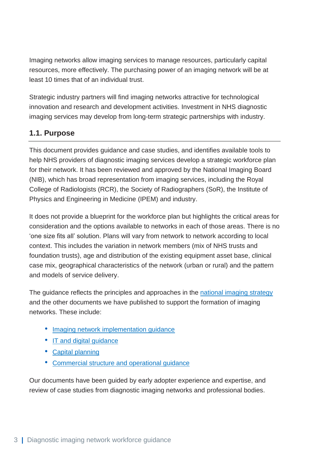Imaging networks allow imaging services to manage resources, particularly capital resources, more effectively. The purchasing power of an imaging network will be at least 10 times that of an individual trust.

Strategic industry partners will find imaging networks attractive for technological innovation and research and development activities. Investment in NHS diagnostic imaging services may develop from long-term strategic partnerships with industry.

# <span id="page-3-0"></span>**1.1. Purpose**

This document provides guidance and case studies, and identifies available tools to help NHS providers of diagnostic imaging services develop a strategic workforce plan for their network. It has been reviewed and approved by the National Imaging Board (NIB), which has broad representation from imaging services, including the Royal College of Radiologists (RCR), the Society of Radiographers (SoR), the Institute of Physics and Engineering in Medicine (IPEM) and industry.

It does not provide a blueprint for the workforce plan but highlights the critical areas for consideration and the options available to networks in each of those areas. There is no 'one size fits all' solution. Plans will vary from network to network according to local context. This includes the variation in network members (mix of NHS trusts and foundation trusts), age and distribution of the existing equipment asset base, clinical case mix, geographical characteristics of the network (urban or rural) and the pattern and models of service delivery.

The guidance reflects the principles and approaches in the [national imaging strategy](https://www.england.nhs.uk/transforming-imaging-services-in-england/) and the other documents we have published to support the formation of imaging networks. These include:

- [Imaging network implementation guidance](https://www.england.nhs.uk/publication/diagnostic-imaging-network-implementation-guide/)
- [IT and digital guidance](https://future.nhs.uk/Imaging/view?objectId=22179216)
- [Capital planning](https://www.england.nhs.uk/publication/diagnostic-imaging-network-capital-equipment-planning-guide/)
- [Commercial structure and operational guidance](https://www.england.nhs.uk/publication/diagnostic-imaging-network-commercial-structure-and-operational-governance-guide/)

Our documents have been guided by early adopter experience and expertise, and review of case studies from diagnostic imaging networks and professional bodies.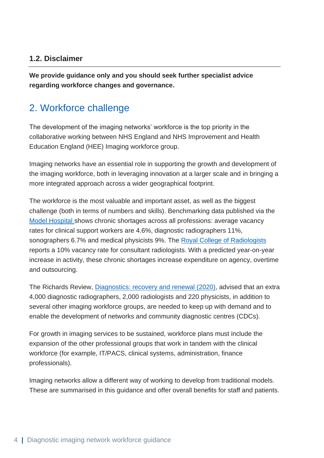# <span id="page-4-0"></span>**1.2. Disclaimer**

**We provide guidance only and you should seek further specialist advice regarding workforce changes and governance.**

# <span id="page-4-1"></span>2. Workforce challenge

The development of the imaging networks' workforce is the top priority in the collaborative working between NHS England and NHS Improvement and Health Education England (HEE) Imaging workforce group.

Imaging networks have an essential role in supporting the growth and development of the imaging workforce, both in leveraging innovation at a larger scale and in bringing a more integrated approach across a wider geographical footprint.

The workforce is the most valuable and important asset, as well as the biggest challenge (both in terms of numbers and skills). Benchmarking data published via the [Model Hospital](https://model.nhs.uk/) shows chronic shortages across all professions: average vacancy rates for clinical support workers are 4.6%, diagnostic radiographers 11%, sonographers 6.7% and medical physicists 9%. The [Royal College of Radiologists](https://www.rcr.ac.uk/publication/clinical-radiology-uk-workforce-census-2020-report) reports a 10% vacancy rate for consultant radiologists. With a predicted year-on-year increase in activity, these chronic shortages increase expenditure on agency, overtime and outsourcing.

The Richards Review, [Diagnostics: recovery and renewal](https://www.england.nhs.uk/publication/diagnostics-recovery-and-renewal-report-of-the-independent-review-of-diagnostic-services-for-nhs-england/) (2020), advised that an extra 4,000 diagnostic radiographers, 2,000 radiologists and 220 physicists, in addition to several other imaging workforce groups, are needed to keep up with demand and to enable the development of networks and community diagnostic centres (CDCs).

For growth in imaging services to be sustained, workforce plans must include the expansion of the other professional groups that work in tandem with the clinical workforce (for example, IT/PACS, clinical systems, administration, finance professionals).

Imaging networks allow a different way of working to develop from traditional models. These are summarised in this guidance and offer overall benefits for staff and patients.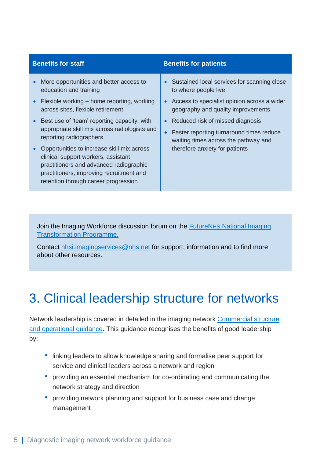- More opportunities and better access to education and training
- Flexible working home reporting, working across sites, flexible retirement
- Best use of 'team' reporting capacity, with appropriate skill mix across radiologists and reporting radiographers
- Opportunities to increase skill mix across clinical support workers, assistant practitioners and advanced radiographic practitioners, improving recruitment and retention through career progression

#### **Benefits for staff Benefits for patients**

- Sustained local services for scanning close to where people live
- Access to specialist opinion across a wider geography and quality improvements
- Reduced risk of missed diagnosis
- Faster reporting turnaround times reduce waiting times across the pathway and therefore anxiety for patients

Join the Imaging Workforce discussion forum on the FutureNHS [National Imaging](https://future.nhs.uk/Imaging/grouphome)  [Transformation Programme.](https://future.nhs.uk/Imaging/grouphome)

Contact [nhsi.imagingservices@nhs.net](mailto:nhsi.imagingservices@nhs.net) for support, information and to find more about other resources.

# <span id="page-5-0"></span>3. Clinical leadership structure for networks

Network leadership is covered in detailed in the imaging network [Commercial structure](https://www.england.nhs.uk/publication/diagnostic-imaging-network-commercial-structure-and-operational-governance-guide/)  [and operational guidance.](https://www.england.nhs.uk/publication/diagnostic-imaging-network-commercial-structure-and-operational-governance-guide/) This guidance recognises the benefits of good leadership by:

- linking leaders to allow knowledge sharing and formalise peer support for service and clinical leaders across a network and region
- providing an essential mechanism for co-ordinating and communicating the network strategy and direction
- providing network planning and support for business case and change management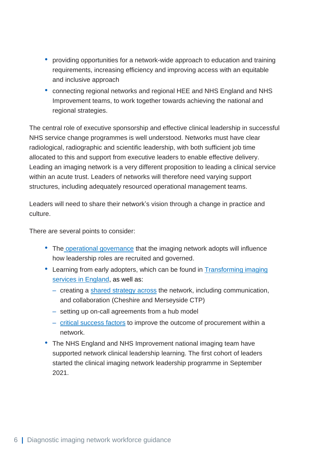- providing opportunities for a network-wide approach to education and training requirements, increasing efficiency and improving access with an equitable and inclusive approach
- connecting regional networks and regional HEE and NHS England and NHS Improvement teams, to work together towards achieving the national and regional strategies.

The central role of executive sponsorship and effective clinical leadership in successful NHS service change programmes is well understood. Networks must have clear radiological, radiographic and scientific leadership, with both sufficient job time allocated to this and support from executive leaders to enable effective delivery. Leading an imaging network is a very different proposition to leading a clinical service within an acute trust. Leaders of networks will therefore need varying support structures, including adequately resourced operational management teams.

Leaders will need to share their network's vision through a change in practice and culture.

There are several points to consider:

- The [operational governance](https://www.england.nhs.uk/publication/diagnostic-imaging-network-commercial-structure-and-operational-governance-guide/) that the imaging network adopts will influence how leadership roles are recruited and governed.
- Learning from early adopters, which can be found in [Transforming](https://www.england.nhs.uk/transforming-imaging-services-in-england/) imaging [services in England,](https://www.england.nhs.uk/transforming-imaging-services-in-england/) as well as:
	- creating a [shared strategy across](https://future.nhs.uk/Imaging/view?objectId=42926341) the network, including communication, and collaboration (Cheshire and Merseyside CTP)
	- setting up on-call agreements from a hub model
	- [critical success](https://future.nhs.uk/Imaging/view?objectId=42926309) factors to improve the outcome of procurement within a network.
- The NHS England and NHS Improvement national imaging team have supported network clinical leadership learning. The first cohort of leaders started the clinical imaging network leadership programme in September 2021.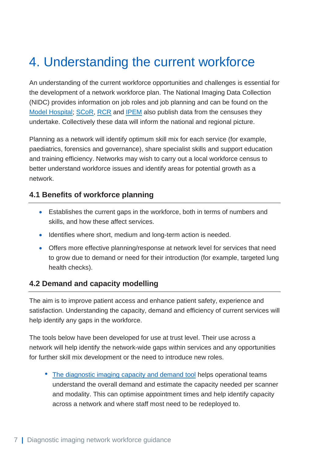# <span id="page-7-0"></span>4. Understanding the current workforce

An understanding of the current workforce opportunities and challenges is essential for the development of a network workforce plan. The National Imaging Data Collection (NIDC) provides information on job roles and job planning and can be found on the [Model Hospital;](https://model.nhs.uk/) [SCoR,](https://www.sor.org/news/radiotherapy/deadline-extended-2020-diagnostic-radiography-work/2020-census-questionnaire-for-reference/cor-diagnostic-radiography-workforce-uk-census-202) [RCR](https://www.rcr.ac.uk/publication/clinical-radiology-uk-workforce-census-2020-report) and [IPEM](https://www.ipem.ac.uk/TrainingWorkforce/WorkforceIntelligence.aspx) also publish data from the censuses they undertake. Collectively these data will inform the national and regional picture.

Planning as a network will identify optimum skill mix for each service (for example, paediatrics, forensics and governance), share specialist skills and support education and training efficiency. Networks may wish to carry out a local workforce census to better understand workforce issues and identify areas for potential growth as a network.

### <span id="page-7-1"></span>**4.1 Benefits of workforce planning**

- Establishes the current gaps in the workforce, both in terms of numbers and skills, and how these affect services.
- Identifies where short, medium and long-term action is needed.
- Offers more effective planning/response at network level for services that need to grow due to demand or need for their introduction (for example, targeted lung health checks).

### <span id="page-7-2"></span>**4.2 Demand and capacity modelling**

The aim is to improve patient access and enhance patient safety, experience and satisfaction. Understanding the capacity, demand and efficiency of current services will help identify any gaps in the workforce.

The tools below have been developed for use at trust level. Their use across a network will help identify the network-wide gaps within services and any opportunities for further skill mix development or the need to introduce new roles.

• [The diagnostic imaging](https://www.england.nhs.uk/ourwork/demand-and-capacity/models/diagnostic-imaging-capacity-and-demand-tool/) capacity and demand tool helps operational teams understand the overall demand and estimate the capacity needed per scanner and modality. This can optimise appointment times and help identify capacity across a network and where staff most need to be redeployed to.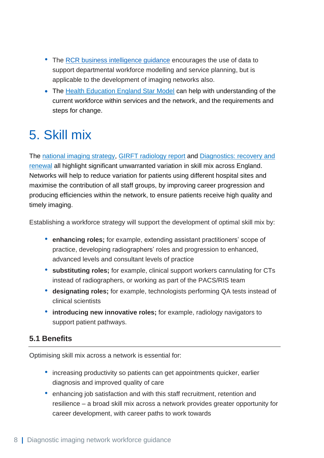- The [RCR business intelligence guidance](https://www.rcr.ac.uk/system/files/publication/field_publication_files/bfcr208-radiology-business-intelligence-service-planning-workforce-modelling.pdf) encourages the use of data to support departmental workforce modelling and service planning, but is applicable to the development of imaging networks also.
- The [Health Education England Star Model](https://www.hee.nhs.uk/our-work/hee-star) can help with understanding of the current workforce within services and the network, and the requirements and steps for change.

# <span id="page-8-0"></span>5. Skill mix

The [national imaging strategy,](https://www.england.nhs.uk/transforming-imaging-services-in-england/) [GIRFT radiology report](https://www.gettingitrightfirsttime.co.uk/clinical-work-stream/radiology/) and [Diagnostics: recovery and](https://www.england.nhs.uk/publication/diagnostics-recovery-and-renewal-report-of-the-independent-review-of-diagnostic-services-for-nhs-england/)  [renewal](https://www.england.nhs.uk/publication/diagnostics-recovery-and-renewal-report-of-the-independent-review-of-diagnostic-services-for-nhs-england/) all highlight significant unwarranted variation in skill mix across England. Networks will help to reduce variation for patients using different hospital sites and maximise the contribution of all staff groups, by improving career progression and producing efficiencies within the network, to ensure patients receive high quality and timely imaging.

Establishing a workforce strategy will support the development of optimal skill mix by:

- **enhancing roles;** for example, extending assistant practitioners' scope of practice, developing radiographers' roles and progression to enhanced, advanced levels and consultant levels of practice
- **substituting roles;** for example, clinical support workers cannulating for CTs instead of radiographers, or working as part of the PACS/RIS team
- **designating roles;** for example, technologists performing QA tests instead of clinical scientists
- **introducing new innovative roles;** for example, radiology navigators to support patient pathways.

# <span id="page-8-1"></span>**5.1 Benefits**

Optimising skill mix across a network is essential for:

- increasing productivity so patients can get appointments quicker, earlier diagnosis and improved quality of care
- enhancing job satisfaction and with this staff recruitment, retention and resilience – a broad skill mix across a network provides greater opportunity for career development, with career paths to work towards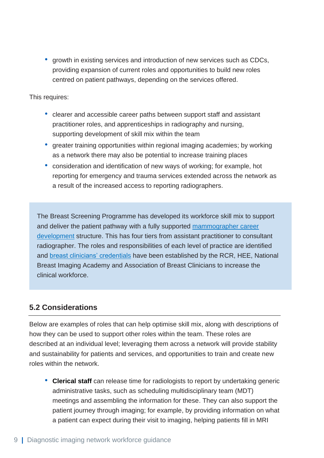• growth in existing services and introduction of new services such as CDCs, providing expansion of current roles and opportunities to build new roles centred on patient pathways, depending on the services offered.

This requires:

- clearer and accessible career paths between support staff and assistant practitioner roles, and apprenticeships in radiography and nursing, supporting development of skill mix within the team
- greater training opportunities within regional imaging academies; by working as a network there may also be potential to increase training places
- consideration and identification of new ways of working; for example, hot reporting for emergency and trauma services extended across the network as a result of the increased access to reporting radiographers.

The Breast Screening Programme has developed its workforce skill mix to support and deliver the patient pathway with a fully supported [mammographer career](https://www.gov.uk/government/publications/breast-screening-quality-assurance-for-mammography-and-radiography/guidance-for-breast-screening-mammographers)  [development](https://www.gov.uk/government/publications/breast-screening-quality-assurance-for-mammography-and-radiography/guidance-for-breast-screening-mammographers) structure. This has four tiers from assistant practitioner to consultant radiographer. The roles and responsibilities of each level of practice are identified and [breast clinicians' credentials](https://www.rcr.ac.uk/clinical-radiology/careers-and-recruitment/breast-clinicians-credential-breast-disease-management) have been established by the RCR, HEE, National Breast Imaging Academy and Association of Breast Clinicians to increase the clinical workforce.

### <span id="page-9-0"></span>**5.2 Considerations**

Below are examples of roles that can help optimise skill mix, along with descriptions of how they can be used to support other roles within the team. These roles are described at an individual level; leveraging them across a network will provide stability and sustainability for patients and services, and opportunities to train and create new roles within the network.

• **Clerical staff** can release time for radiologists to report by undertaking generic administrative tasks, such as scheduling multidisciplinary team (MDT) meetings and assembling the information for these. They can also support the patient journey through imaging; for example, by providing information on what a patient can expect during their visit to imaging, helping patients fill in MRI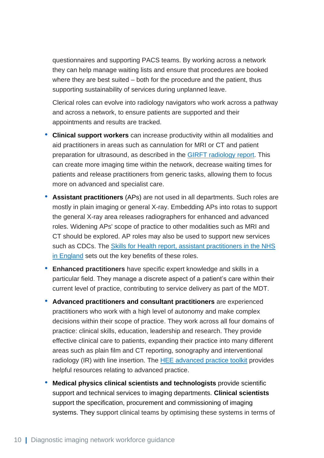questionnaires and supporting PACS teams. By working across a network they can help manage waiting lists and ensure that procedures are booked where they are best suited – both for the procedure and the patient, thus supporting sustainability of services during unplanned leave.

Clerical roles can evolve into radiology navigators who work across a pathway and across a network, to ensure patients are supported and their appointments and results are tracked.

- **Clinical support workers** can increase productivity within all modalities and aid practitioners in areas such as cannulation for MRI or CT and patient preparation for ultrasound, as described in the [GIRFT](https://www.gettingitrightfirsttime.co.uk/clinical-work-stream/radiology/) radiology report. This can create more imaging time within the network, decrease waiting times for patients and release practitioners from generic tasks, allowing them to focus more on advanced and specialist care.
- **Assistant practitioners** (APs) are not used in all departments. Such roles are mostly in plain imaging or general X-ray. Embedding APs into rotas to support the general X-ray area releases radiographers for enhanced and advanced roles. Widening APs' scope of practice to other modalities such as MRI and CT should be explored. AP roles may also be used to support new services such as CDCs. The Skills for Health report, [assistant practitioners in the NHS](https://www.skillsforhealth.org.uk/images/resource-section/reports/Assistant%20Practitioners%20in%20England%20Report%202015.pdf)  [in England](https://www.skillsforhealth.org.uk/images/resource-section/reports/Assistant%20Practitioners%20in%20England%20Report%202015.pdf) sets out the key benefits of these roles.
- **Enhanced practitioners** have specific expert knowledge and skills in a particular field. They manage a discrete aspect of a patient's care within their current level of practice, contributing to service delivery as part of the MDT.
- **[Advanced practitioners](https://www.sor.org/learning-advice/career-development/practice-level-information/advanced-practitioners/what-is-advanced-practice-in-radiography) and consultant practitioners** are experienced practitioners who work with a high level of autonomy and make complex decisions within their scope of practice. They work across all four domains of practice: clinical skills, education, leadership and research. They provide effective clinical care to patients, expanding their practice into many different areas such as plain film and CT reporting, sonography and interventional radiology (IR) with line insertion. The [HEE advanced practice toolkit](https://cs1.e-learningforhealthcare.org.uk/public/ACP/ACP_01_001/index.html#/) provides helpful resources relating to advanced practice.
- **Medical physics clinical scientists and technologists** provide scientific support and technical services to imaging departments. **Clinical scientists** support the specification, procurement and commissioning of imaging systems. They support clinical teams by optimising these systems in terms of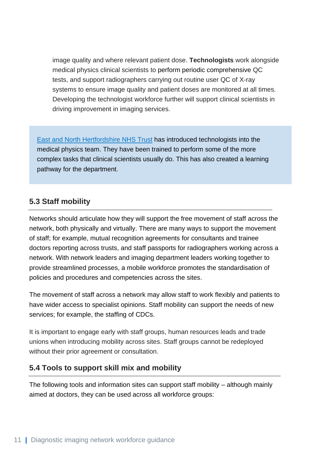image quality and where relevant patient dose. **Technologists** work alongside medical physics clinical scientists to perform periodic comprehensive QC tests, and support radiographers carrying out routine user QC of X-ray systems to ensure image quality and patient doses are monitored at all times. Developing the technologist workforce further will support clinical scientists in driving improvement in imaging services.

[East and North Hertfordshire NHS](https://future.nhs.uk/Imaging/viewdocument?docid=114426053) Trust has introduced technologists into the medical physics team. They have been trained to perform some of the more complex tasks that clinical scientists usually do. This has also created a learning pathway for the department.

# <span id="page-11-0"></span>**5.3 Staff mobility**

Networks should articulate how they will support the free movement of staff across the network, both physically and virtually. There are many ways to support the movement of staff; for example, mutual recognition agreements for consultants and trainee doctors reporting across trusts, and staff passports for radiographers working across a network. With network leaders and imaging department leaders working together to provide streamlined processes, a mobile workforce promotes the standardisation of policies and procedures and competencies across the sites.

The movement of staff across a network may allow staff to work flexibly and patients to have wider access to specialist opinions. Staff mobility can support the needs of new services; for example, the staffing of CDCs.

It is important to engage early with staff groups, human resources leads and trade unions when introducing mobility across sites. Staff groups cannot be redeployed without their prior agreement or consultation.

## <span id="page-11-1"></span>**5.4 Tools to support skill mix and mobility**

The following tools and information sites can support staff mobility – although mainly aimed at doctors, they can be used across all workforce groups: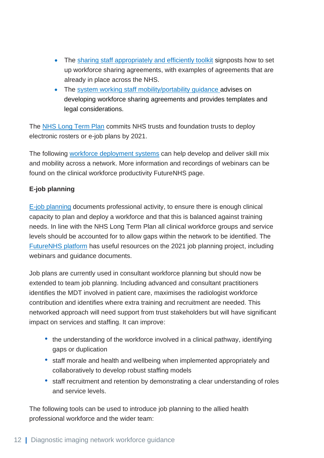- The sharing staff [appropriately and efficiently toolkit](https://www.england.nhs.uk/publication/enabling-staff-movement-between-nhs-organisations-a-toolkit-for-sharing-staff-appropriately-and-efficiently/) signposts how to set up workforce sharing agreements, with examples of agreements that are already in place across the NHS.
- The system working staff mobility/portability quidance advises on developing workforce sharing agreements and provides templates and legal considerations.

The [NHS Long Term Plan](https://www.longtermplan.nhs.uk/) commits NHS trusts and foundation trusts to deploy electronic rosters or e-job plans by 2021.

The following [workforce deployment systems](https://www.england.nhs.uk/workforce-deployment-systems/) can help develop and deliver skill mix and mobility across a network. More information and recordings of webinars can be found on the clinical workforce productivity FutureNHS page.

### **E-job planning**

[E-job planning](https://www.england.nhs.uk/wp-content/uploads/2020/09/e-job-planning-guidance.pdf) documents professional activity, to ensure there is enough clinical capacity to plan and deploy a workforce and that this is balanced against training needs. In line with the NHS Long Term Plan all clinical workforce groups and service levels should be accounted for to allow gaps within the network to be identified. The [FutureNHS](https://future.nhs.uk/ClinicalWP/grouphome) platform has useful resources on the 2021 job planning project, including webinars and guidance documents.

Job plans are currently used in consultant workforce planning but should now be extended to team job planning. Including advanced and consultant practitioners identifies the MDT involved in patient care, maximises the radiologist workforce contribution and identifies where extra training and recruitment are needed. This networked approach will need support from trust stakeholders but will have significant impact on services and staffing. It can improve:

- the understanding of the workforce involved in a clinical pathway, identifying gaps or duplication
- staff morale and health and wellbeing when implemented appropriately and collaboratively to develop robust staffing models
- staff recruitment and retention by demonstrating a clear understanding of roles and service levels.

The following tools can be used to introduce job planning to the allied health professional workforce and the wider team: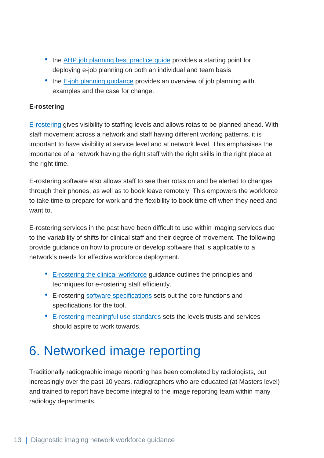- the [AHP job planning best practice guide](https://www.england.nhs.uk/ahp/allied-health-professionals-job-planning-a-best-practice-guide/) provides a starting point for deploying e-job planning on both an individual and team basis
- the E-job planning quidance provides an overview of job planning with examples and the case for change.

#### **E-rostering**

[E-rostering](https://www.england.nhs.uk/workforce-deployment-systems/) gives visibility to staffing levels and allows rotas to be planned ahead. With staff movement across a network and staff having different working patterns, it is important to have visibility at service level and at network level. This emphasises the importance of a network having the right staff with the right skills in the right place at the right time.

E-rostering software also allows staff to see their rotas on and be alerted to changes through their phones, as well as to book leave remotely. This empowers the workforce to take time to prepare for work and the flexibility to book time off when they need and want to.

E-rostering services in the past have been difficult to use within imaging services due to the variability of shifts for clinical staff and their degree of movement. The following provide guidance on how to procure or develop software that is applicable to a network's needs for effective workforce deployment.

- [E-rostering the clinical workforce](https://www.england.nhs.uk/wp-content/uploads/2020/09/e-rostering-guidance.pdf) guidance outlines the principles and techniques for e-rostering staff efficiently.
- E-rostering [software specifications](https://www.england.nhs.uk/wp-content/uploads/2020/09/WDS_software_requirements_specifications.pdf) sets out the core functions and specifications for the tool.
- [E-rostering meaningful use standards](https://www.england.nhs.uk/workforce-deployment-systems/) sets the levels trusts and services should aspire to work towards.

# <span id="page-13-0"></span>6. Networked image reporting

Traditionally radiographic image reporting has been completed by radiologists, but increasingly over the past 10 years, radiographers who are educated (at Masters level) and trained to report have become integral to the image reporting team within many radiology departments.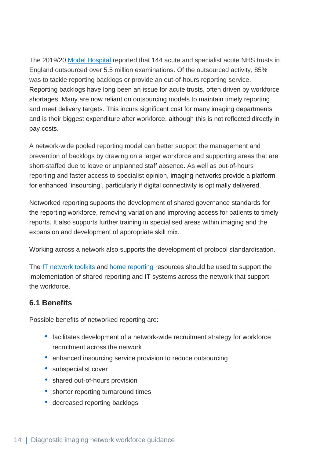The 2019/20 [Model Hospital](https://model.nhs.uk/) reported that 144 acute and specialist acute NHS trusts in England outsourced over 5.5 million examinations. Of the outsourced activity, 85% was to tackle reporting backlogs or provide an out-of-hours reporting service. Reporting backlogs have long been an issue for acute trusts, often driven by workforce shortages. Many are now reliant on outsourcing models to maintain timely reporting and meet delivery targets. This incurs significant cost for many imaging departments and is their biggest expenditure after workforce, although this is not reflected directly in pay costs.

A network-wide pooled reporting model can better support the management and prevention of backlogs by drawing on a larger workforce and supporting areas that are short-staffed due to leave or unplanned staff absence. As well as out-of-hours reporting and faster access to specialist opinion, imaging networks provide a platform for enhanced 'insourcing', particularly if digital connectivity is optimally delivered.

Networked reporting supports the development of shared governance standards for the reporting workforce, removing variation and improving access for patients to timely reports. It also supports further training in specialised areas within imaging and the expansion and development of appropriate skill mix.

Working across a network also supports the development of protocol standardisation.

The [IT network toolkits](https://future.nhs.uk/Imaging/view?objectId=22179216) and [home reporting](https://future.nhs.uk/Imaging/view?objectId=20535536) resources should be used to support the implementation of shared reporting and IT systems across the network that support the workforce.

# <span id="page-14-0"></span>**6.1 Benefits**

Possible benefits of networked reporting are:

- facilitates development of a network-wide recruitment strategy for workforce recruitment across the network
- enhanced insourcing service provision to reduce outsourcing
- subspecialist cover
- shared out-of-hours provision
- shorter reporting turnaround times
- decreased reporting backlogs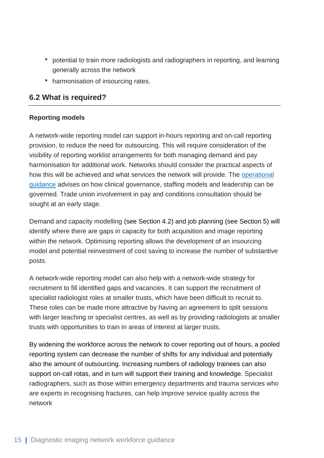- potential to train more radiologists and radiographers in reporting, and learning generally across the network
- harmonisation of insourcing rates.

## <span id="page-15-0"></span>**6.2 What is required?**

#### **Reporting models**

A network-wide reporting model can support in-hours reporting and on-call reporting provision, to reduce the need for outsourcing. This will require consideration of the visibility of reporting worklist arrangements for both managing demand and pay harmonisation for additional work. Networks should consider the practical aspects of how this will be achieved and what services the network will provide. The [operational](https://www.england.nhs.uk/wp-content/uploads/2021/04/B0030-Operational-governance-guide-April-2021.pdf)  [guidance](https://www.england.nhs.uk/wp-content/uploads/2021/04/B0030-Operational-governance-guide-April-2021.pdf) advises on how clinical governance, staffing models and leadership can be governed. Trade union involvement in pay and conditions consultation should be sought at an early stage.

Demand and capacity modelling (see Section 4.2) and job planning (see Section 5) will identify where there are gaps in capacity for both acquisition and image reporting within the network. Optimising reporting allows the development of an insourcing model and potential reinvestment of cost saving to increase the number of substantive posts.

A network-wide reporting model can also help with a network-wide strategy for recruitment to fill identified gaps and vacancies. It can support the recruitment of specialist radiologist roles at smaller trusts, which have been difficult to recruit to. These roles can be made more attractive by having an agreement to split sessions with larger teaching or specialist centres, as well as by providing radiologists at smaller trusts with opportunities to train in areas of interest at larger trusts.

By widening the workforce across the network to cover reporting out of hours, a pooled reporting system can decrease the number of shifts for any individual and potentially also the amount of outsourcing. Increasing numbers of radiology trainees can also support on-call rotas, and in turn will support their training and knowledge. Specialist radiographers, such as those within emergency departments and trauma services who are experts in recognising fractures, can help improve service quality across the network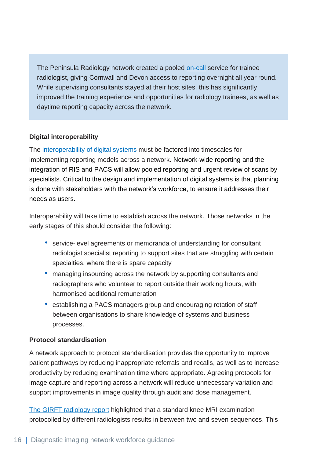The Peninsula Radiology network created a pooled [on-call](https://future.nhs.uk/Imaging/view?objectId=42926373) service for trainee radiologist, giving Cornwall and Devon access to reporting overnight all year round. While supervising consultants stayed at their host sites, this has significantly improved the training experience and opportunities for radiology trainees, as well as daytime reporting capacity across the network.

#### **Digital interoperability**

The [interoperability of digital systems](https://www.gov.uk/government/publications/the-future-of-healthcare-our-vision-for-digital-data-and-technology-in-health-and-care/the-future-of-healthcare-our-vision-for-digital-data-and-technology-in-health-and-care) must be factored into timescales for implementing reporting models across a network. Network-wide reporting and the integration of RIS and PACS will allow pooled reporting and urgent review of scans by specialists. Critical to the design and implementation of digital systems is that planning is done with stakeholders with the network's workforce, to ensure it addresses their needs as users.

Interoperability will take time to establish across the network. Those networks in the early stages of this should consider the following:

- service-level agreements or memoranda of understanding for consultant radiologist specialist reporting to support sites that are struggling with certain specialties, where there is spare capacity
- managing insourcing across the network by supporting consultants and radiographers who volunteer to report outside their working hours, with harmonised additional remuneration
- establishing a PACS managers group and encouraging rotation of staff between organisations to share knowledge of systems and business processes.

#### **Protocol standardisation**

A network approach to protocol standardisation provides the opportunity to improve patient pathways by reducing inappropriate referrals and recalls, as well as to increase productivity by reducing examination time where appropriate. Agreeing protocols for image capture and reporting across a network will reduce unnecessary variation and support improvements in image quality through audit and dose management.

[The GIRFT radiology](https://www.gettingitrightfirsttime.co.uk/wp-content/uploads/2020/11/GIRFT-radiology-report.pdf) report highlighted that a standard knee MRI examination protocolled by different radiologists results in between two and seven sequences. This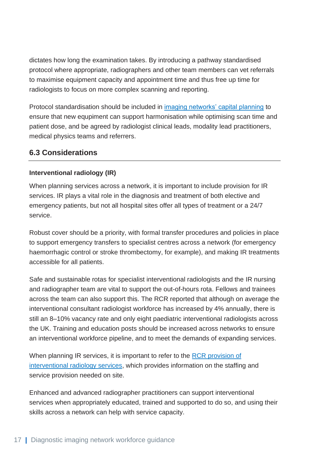dictates how long the examination takes. By introducing a pathway standardised protocol where appropriate, radiographers and other team members can vet referrals to maximise equipment capacity and appointment time and thus free up time for radiologists to focus on more complex scanning and reporting.

Protocol standardisation should be included in [imaging networks' capital planning](https://www.england.nhs.uk/publication/diagnostic-imaging-network-capital-equipment-planning-guide/) to ensure that new equpiment can support harmonisation while optimising scan time and patient dose, and be agreed by radiologist clinical leads, modality lead practitioners, medical physics teams and referrers.

## <span id="page-17-0"></span>**6.3 Considerations**

### **Interventional radiology (IR)**

When planning services across a network, it is important to include provision for IR services. IR plays a vital role in the diagnosis and treatment of both elective and emergency patients, but not all hospital sites offer all types of treatment or a 24/7 service.

Robust cover should be a priority, with formal transfer procedures and policies in place to support emergency transfers to specialist centres across a network (for emergency haemorrhagic control or stroke thrombectomy, for example), and making IR treatments accessible for all patients.

Safe and sustainable rotas for specialist interventional radiologists and the IR nursing and radiographer team are vital to support the out-of-hours rota. Fellows and trainees across the team can also support this. The RCR reported that although on average the interventional consultant radiologist workforce has increased by 4% annually, there is still an 8–10% vacancy rate and only eight paediatric interventional radiologists across the UK. Training and education posts should be increased across networks to ensure an interventional workforce pipeline, and to meet the demands of expanding services.

When planning IR services, it is important to refer to the [RCR provision of](https://www.rcr.ac.uk/system/files/publication/field_publication_files/bfcr198-provision-interventional-radiology-services-second-ed.pdf)  [interventional radiology services,](https://www.rcr.ac.uk/system/files/publication/field_publication_files/bfcr198-provision-interventional-radiology-services-second-ed.pdf) which provides information on the staffing and service provision needed on site.

Enhanced and advanced radiographer practitioners can support interventional services when appropriately educated, trained and supported to do so, and using their skills across a network can help with service capacity.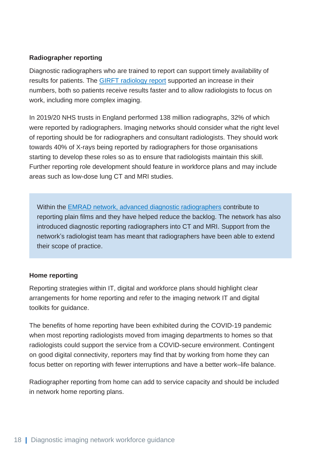#### **Radiographer reporting**

Diagnostic radiographers who are trained to report can support timely availability of results for patients. The [GIRFT radiology report](https://www.gettingitrightfirsttime.co.uk/wp-content/uploads/2020/11/GIRFT-radiology-report.pdf) supported an increase in their numbers, both so patients receive results faster and to allow radiologists to focus on work, including more complex imaging.

In 2019/20 NHS trusts in England performed 138 million radiographs, 32% of which were reported by radiographers. Imaging networks should consider what the right level of reporting should be for radiographers and consultant radiologists. They should work towards 40% of X-rays being reported by radiographers for those organisations starting to develop these roles so as to ensure that radiologists maintain this skill. Further reporting role development should feature in workforce plans and may include areas such as low-dose lung CT and MRI studies.

Within the EMRAD network, [advanced diagnostic radiographers](https://future.nhs.uk/system/login?nextURL=%2Fconnect%2Eti%2FImaging%2Fview%3FobjectId%3D93954405) contribute to reporting plain films and they have helped reduce the backlog. The network has also introduced diagnostic reporting radiographers into CT and MRI. Support from the network's radiologist team has meant that radiographers have been able to extend their scope of practice.

#### **Home reporting**

Reporting strategies within IT, digital and workforce plans should highlight clear arrangements for home reporting and refer to the imaging network IT and digital toolkits for guidance.

The benefits of home reporting have been exhibited during the COVID-19 pandemic when most reporting radiologists moved from imaging departments to homes so that radiologists could support the service from a COVID-secure environment. Contingent on good digital connectivity, reporters may find that by working from home they can focus better on reporting with fewer interruptions and have a better work–life balance.

Radiographer reporting from home can add to service capacity and should be included in network home reporting plans.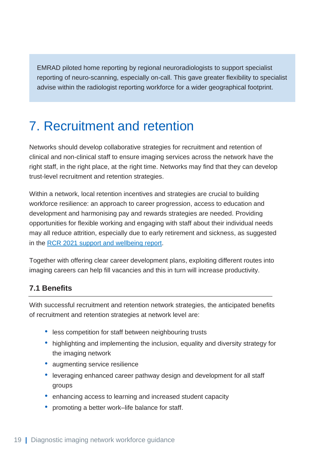EMRAD piloted home reporting by regional neuroradiologists to support specialist reporting of neuro-scanning, especially on-call. This gave greater flexibility to specialist advise within the radiologist reporting workforce for a wider geographical footprint.

# <span id="page-19-0"></span>7. Recruitment and retention

Networks should develop collaborative strategies for recruitment and retention of clinical and non-clinical staff to ensure imaging services across the network have the right staff, in the right place, at the right time. Networks may find that they can develop trust-level recruitment and retention strategies.

Within a network, local retention incentives and strategies are crucial to building workforce resilience: an approach to career progression, access to education and development and harmonising pay and rewards strategies are needed. Providing opportunities for flexible working and engaging with staff about their individual needs may all reduce attrition, especially due to early retirement and sickness, as suggested in the [RCR 2021 support and wellbeing report.](https://www.rcr.ac.uk/sites/default/files/care-is-not-just-for-the-patient.pdf)

Together with offering clear career development plans, exploiting different routes into imaging careers can help fill vacancies and this in turn will increase productivity.

## <span id="page-19-1"></span>**7.1 Benefits**

With successful recruitment and retention network strategies, the anticipated benefits of recruitment and retention strategies at network level are:

- less competition for staff between neighbouring trusts
- highlighting and implementing the inclusion, equality and diversity strategy for the imaging network
- augmenting service resilience
- leveraging enhanced career pathway design and development for all staff groups
- enhancing access to learning and increased student capacity
- promoting a better work–life balance for staff.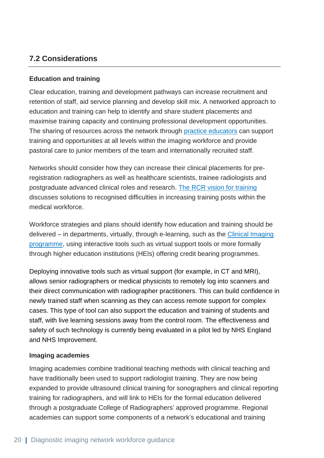# <span id="page-20-0"></span>**7.2 Considerations**

### **Education and training**

Clear education, training and development pathways can increase recruitment and retention of staff, aid service planning and develop skill mix. A networked approach to education and training can help to identify and share student placements and maximise training capacity and continuing professional development opportunities. The sharing of resources across the network through [practice educators](https://www.collegeofradiographers.ac.uk/education/education-approval-(1)/practice-educator) can support training and opportunities at all levels within the imaging workforce and provide pastoral care to junior members of the team and internationally recruited staff.

Networks should consider how they can increase their clinical placements for preregistration radiographers as well as healthcare scientists, trainee radiologists and postgraduate advanced clinical roles and research. [The RCR vision for training](https://www.rcr.ac.uk/sites/default/files/vision_for_training.pdf) discusses solutions to recognised difficulties in increasing training posts within the medical workforce.

Workforce strategies and plans should identify how education and training should be delivered – in departments, virtually, through e-learning, such as the [Clinical Imaging](https://www.e-lfh.org.uk/programmes/clinical-imaging/)  [programme,](https://www.e-lfh.org.uk/programmes/clinical-imaging/) using interactive tools such as virtual support tools or more formally through higher education institutions (HEIs) offering credit bearing programmes.

Deploying innovative tools such as virtual support (for example, in CT and MRI), allows senior radiographers or medical physicists to remotely log into scanners and their direct communication with radiographer practitioners. This can build confidence in newly trained staff when scanning as they can access remote support for complex cases. This type of tool can also support the education and training of students and staff, with live learning sessions away from the control room. The effectiveness and safety of such technology is currently being evaluated in a pilot led by NHS England and NHS Improvement.

#### **Imaging academies**

Imaging academies combine traditional teaching methods with clinical teaching and have traditionally been used to support radiologist training. They are now being expanded to provide ultrasound clinical training for sonographers and clinical reporting training for radiographers, and will link to HEIs for the formal education delivered through a postgraduate College of Radiographers' approved programme. Regional academies can support some components of a network's educational and training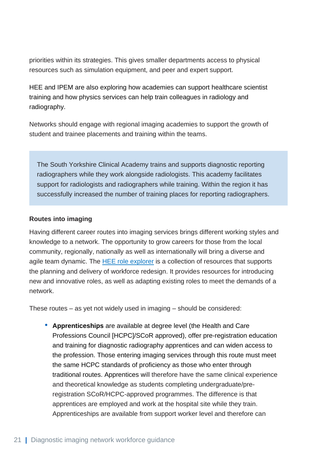priorities within its strategies. This gives smaller departments access to physical resources such as simulation equipment, and peer and expert support.

HEE and IPEM are also exploring how academies can support healthcare scientist training and how physics services can help train colleagues in radiology and radiography.

Networks should engage with regional imaging academies to support the growth of student and trainee placements and training within the teams.

The South Yorkshire Clinical Academy trains and supports diagnostic reporting radiographers while they work alongside radiologists. This academy facilitates support for radiologists and radiographers while training. Within the region it has successfully increased the number of training places for reporting radiographers.

#### **Routes into imaging**

Having different career routes into imaging services brings different working styles and knowledge to a network. The opportunity to grow careers for those from the local community, regionally, nationally as well as internationally will bring a diverse and agile team dynamic. The [HEE role explorer](https://www.hee.nhs.uk/our-work/workforce-transformation/hee-roles-explorer) is a collection of resources that supports the planning and delivery of workforce redesign. It provides resources for introducing new and innovative roles, as well as adapting existing roles to meet the demands of a network.

These routes – as yet not widely used in imaging – should be considered:

• **Apprenticeships** [are available at degree level \(the Health and Care](https://www.sor.org/news/learning/diagnostic-radiographer-degree-apprenticeships)  [Professions Council \[HCPC\]/SCoR approved\),](https://www.sor.org/news/learning/diagnostic-radiographer-degree-apprenticeships) offer pre-registration education [and training for diagnostic radiography](https://www.sor.org/news/learning/diagnostic-radiographer-degree-apprenticeships) apprentices and can widen access to the profession. Those entering imaging services through this route must meet the same HCPC standards of proficiency as those who enter through traditional routes. Apprentices will therefore have the same clinical experience and theoretical knowledge as students completing undergraduate/preregistration SCoR/HCPC-approved programmes. The difference is that apprentices are employed and work at the hospital site while they train. Apprenticeships are available from support worker level and therefore can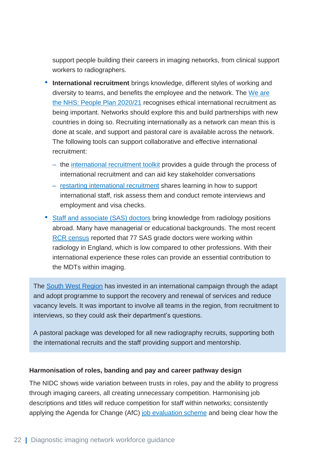support people building their careers in imaging networks, from clinical support workers to radiographers.

- **International recruitment** brings knowledge, different styles of working and diversity to teams, and benefits the employee and the network. The [We are](https://www.england.nhs.uk/ournhspeople/)  [the NHS: People Plan 2020/21](https://www.england.nhs.uk/ournhspeople/) recognises ethical international recruitment as being important. Networks should explore this and build partnerships with new countries in doing so. Recruiting internationally as a network can mean this is done at scale, and support and pastoral care is available across the network. The following tools can support collaborative and effective international recruitment:
	- the [international recruitment toolkit](https://www.nhsemployers.org/publications/international-recruitment-toolkit) provides a guide through the process of international recruitment and can aid key stakeholder conversations
	- [restarting international recruitment](ttps://www.nhsemployers.org/publications/international-recruitment-throughout-covid-19) shares learning in how to support international staff, risk assess them and conduct remote interviews and employment and visa checks.
- [Staff and associate \(SAS\) doctors](https://www.rcr.ac.uk/posts/harnessing-experience-and-clinical-expertise-staff-and-associate-specialist-sas-doctors) bring knowledge from radiology positions abroad. Many have managerial or educational backgrounds. The most recent [RCR census](https://www.rcr.ac.uk/census-report#:~:text=The%20RCR%20has%20carried%20out%20workforce%20censuses%20annually,and%20the%20demand%20for%20diagnostic%20and%20interventional%20radiology.) reported that 77 SAS grade doctors were working within radiology in England, which is low compared to other professions. With their international experience these roles can provide an essential contribution to the MDTs within imaging.

The [South West Region](https://future.nhs.uk/Imaging/view?objectId=96657925) has invested in an international campaign through the adapt and adopt programme to support the recovery and renewal of services and reduce vacancy levels. It was important to involve all teams in the region, from recruitment to interviews, so they could ask their department's questions.

A pastoral package was developed for all new radiography recruits, supporting both the international recruits and the staff providing support and mentorship.

#### **Harmonisation of roles, banding and pay and career pathway design**

The NIDC shows wide variation between trusts in roles, pay and the ability to progress through imaging careers, all creating unnecessary competition. Harmonising job descriptions and titles will reduce competition for staff within networks; consistently applying the Agenda for Change (AfC) [job evaluation scheme](https://www.nhsemployers.org/publications/nhs-job-evaluation-handbook) and being clear how the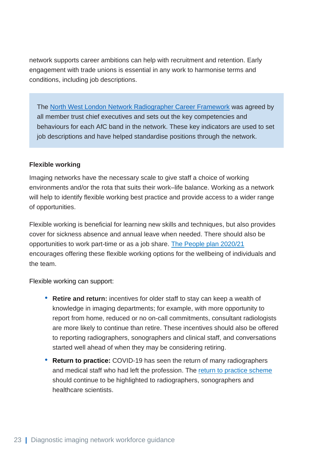network supports career ambitions can help with recruitment and retention. Early engagement with trade unions is essential in any work to harmonise terms and conditions, including job descriptions.

The [North West London Network Radiographer Career Framework](https://future.nhs.uk/Imaging/view?objectId=86755909) was agreed by all member trust chief executives and sets out the key competencies and behaviours for each AfC band in the network. These key indicators are used to set job descriptions and have helped standardise positions through the network.

#### **Flexible working**

Imaging networks have the necessary scale to give staff a choice of working environments and/or the rota that suits their work–life balance. Working as a network will help to identify flexible working best practice and provide access to a wider range of opportunities.

Flexible working is beneficial for learning new skills and techniques, but also provides cover for sickness absence and annual leave when needed. There should also be opportunities to work part-time or as a job share. [The People plan](https://www.england.nhs.uk/ournhspeople/) 2020/21 encourages offering these flexible working options for the wellbeing of individuals and the team.

Flexible working can support:

- **Retire and return:** incentives for older staff to stay can keep a wealth of knowledge in imaging departments; for example, with more opportunity to report from home, reduced or no on-call commitments, consultant radiologists are more likely to continue than retire. These incentives should also be offered to reporting radiographers, sonographers and clinical staff, and conversations started well ahead of when they may be considering retiring.
- **Return to practice:** COVID-19 has seen the return of many radiographers and medical staff who had left the profession. The [return to practice scheme](https://www.hee.nhs.uk/our-work/return-practice-allied-health-professionals-healthcare-scientists) should continue to be highlighted to radiographers, sonographers and healthcare scientists.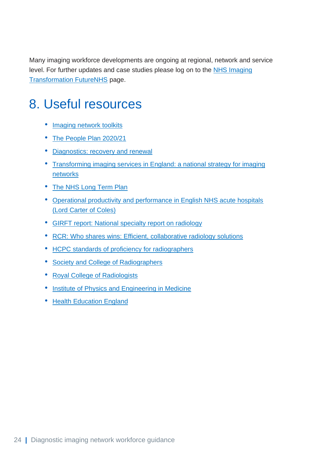Many imaging workforce developments are ongoing at regional, network and service level. For further updates and case studies please log on to the **NHS Imaging [Transformation FutureNHS](https://future.nhs.uk/Imaging/grouphome) page.** 

# <span id="page-24-0"></span>8. Useful resources

- [Imaging network toolkits](https://future.nhs.uk/Imaging/view?objectId=22345552)
- [The People Plan 2020/21](https://www.england.nhs.uk/ournhspeople/)
- [Diagnostics: recovery and renewal](https://www.england.nhs.uk/publication/diagnostics-recovery-and-renewal-report-of-the-independent-review-of-diagnostic-services-for-nhs-england/)
- [Transforming imaging services in England: a national strategy for imaging](hhttps://www.england.nhs.uk/transforming-imaging-services-in-england/)  **[networks](hhttps://www.england.nhs.uk/transforming-imaging-services-in-england/)**
- [The NHS Long Term Plan](https://www.longtermplan.nhs.uk/)
- [Operational productivity and performance in English NHS acute hospitals](https://assets.publishing.service.gov.uk/government/uploads/system/uploads/attachment_data/file/499229/Operational_productivity_A.pdf) [\(Lord Carter](https://assets.publishing.service.gov.uk/government/uploads/system/uploads/attachment_data/file/499229/Operational_productivity_A.pdf) of Coles)
- [GIRFT report: National specialty report on radiology](https://www.gettingitrightfirsttime.co.uk/wp-content/uploads/2020/11/GIRFT-radiology-report.pdf)
- RCR: [Who shares wins: Efficient, collaborative radiology solutions](https://www.rcr.ac.uk/system/files/publication/field_publication_files/rcr164_who-shares-wins.pdf)
- [HCPC standards of proficiency for radiographers](https://www.hcpc-uk.org/standards/standards-of-proficiency/radiographers/)
- [Society and College of Radiographers](https://www.sor.org/)
- [Royal College of Radiologists](https://www.rcr.ac.uk/)
- [Institute of Physics and Engineering in Medicine](https://www.ipem.ac.uk/)
- [Health Education England](https://www.hee.nhs.uk/)